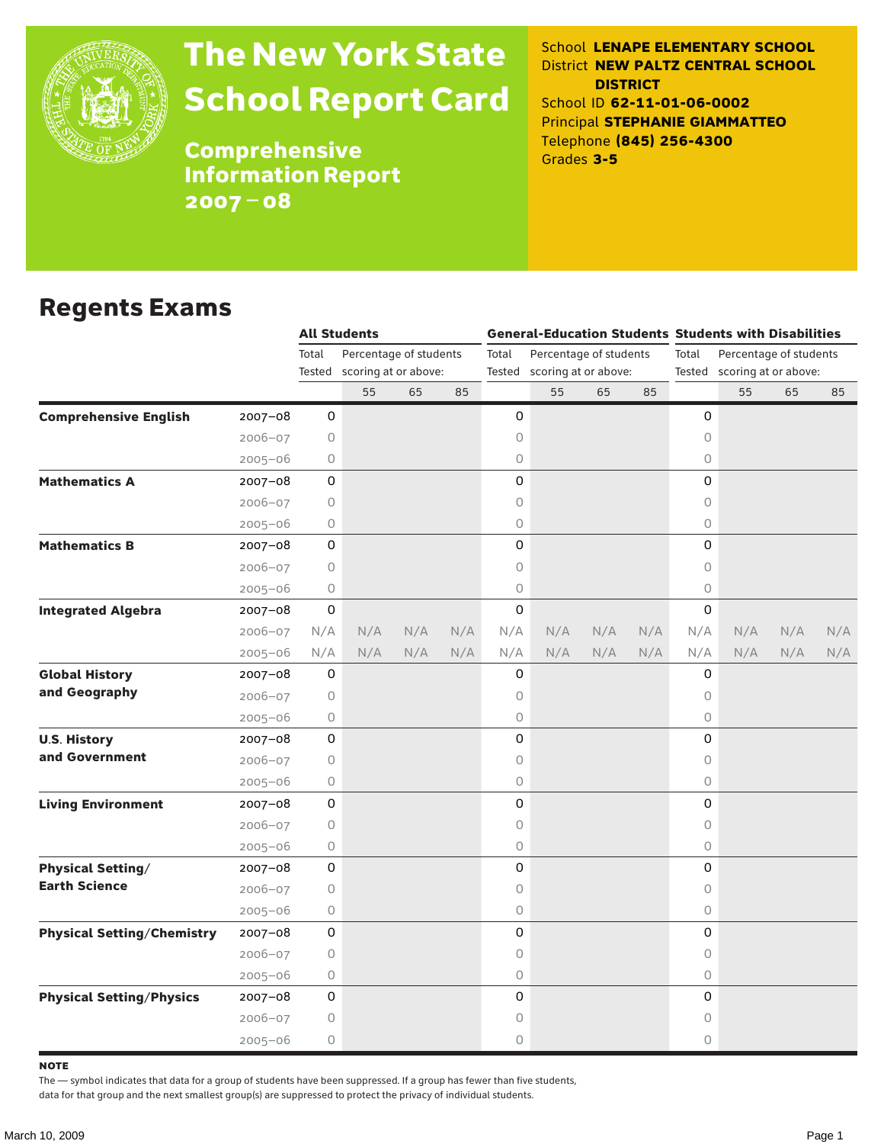

# The New York State School Report Card

School **LENAPE ELEMENTARY SCHOOL** District **NEW PALTZ CENTRAL SCHOOL DISTRICT** School ID **62-11-01-06-0002** Principal **STEPHANIE GIAMMATTEO** Telephone **(845) 256-4300** Grades **3-5**

**Comprehensive** Information Report 2007–08

### Regents Exams

|                                   |             |         | <b>All Students</b>         |     |     |                             |                        |     |     | <b>General-Education Students Students with Disabilities</b> |     |     |     |  |
|-----------------------------------|-------------|---------|-----------------------------|-----|-----|-----------------------------|------------------------|-----|-----|--------------------------------------------------------------|-----|-----|-----|--|
|                                   |             | Total   | Percentage of students      |     |     | Total                       | Percentage of students |     |     | Percentage of students<br>Total                              |     |     |     |  |
|                                   |             |         | Tested scoring at or above: |     |     | Tested scoring at or above: |                        |     |     | Tested scoring at or above:                                  |     |     |     |  |
|                                   |             |         | 55                          | 65  | 85  |                             | 55                     | 65  | 85  |                                                              | 55  | 65  | 85  |  |
| <b>Comprehensive English</b>      | $2007 - 08$ | 0       |                             |     |     | 0                           |                        |     |     | 0                                                            |     |     |     |  |
|                                   | $2006 - 07$ | 0       |                             |     |     | 0                           |                        |     |     | $\circ$                                                      |     |     |     |  |
|                                   | $2005 - 06$ | 0       |                             |     |     | 0                           |                        |     |     | $\circ$                                                      |     |     |     |  |
| <b>Mathematics A</b>              | $2007 - 08$ | 0       |                             |     |     | 0                           |                        |     |     | 0                                                            |     |     |     |  |
|                                   | $2006 - 07$ | 0       |                             |     |     | 0                           |                        |     |     | 0                                                            |     |     |     |  |
|                                   | $2005 - 06$ | 0       |                             |     |     | 0                           |                        |     |     | $\circ$                                                      |     |     |     |  |
| <b>Mathematics B</b>              | 2007-08     | 0       |                             |     |     | 0                           |                        |     |     | 0                                                            |     |     |     |  |
|                                   | $2006 - 07$ | $\circ$ |                             |     |     | 0                           |                        |     |     | $\circ$                                                      |     |     |     |  |
|                                   | $2005 - 06$ | $\circ$ |                             |     |     | 0                           |                        |     |     | $\circ$                                                      |     |     |     |  |
| <b>Integrated Algebra</b>         | $2007 - 08$ | 0       |                             |     |     | 0                           |                        |     |     | $\mathbf 0$                                                  |     |     |     |  |
|                                   | $2006 - 07$ | N/A     | N/A                         | N/A | N/A | N/A                         | N/A                    | N/A | N/A | N/A                                                          | N/A | N/A | N/A |  |
|                                   | $2005 - 06$ | N/A     | N/A                         | N/A | N/A | N/A                         | N/A                    | N/A | N/A | N/A                                                          | N/A | N/A | N/A |  |
| <b>Global History</b>             | $2007 - 08$ | 0       |                             |     |     | 0                           |                        |     |     | 0                                                            |     |     |     |  |
| and Geography                     | $2006 - 07$ | 0       |                             |     |     | 0                           |                        |     |     | 0                                                            |     |     |     |  |
|                                   | $2005 - 06$ | 0       |                             |     |     | 0                           |                        |     |     | $\circ$                                                      |     |     |     |  |
| <b>U.S. History</b>               | 2007-08     | 0       |                             |     |     | 0                           |                        |     |     | 0                                                            |     |     |     |  |
| and Government                    | $2006 - 07$ | 0       |                             |     |     | 0                           |                        |     |     | $\circ$                                                      |     |     |     |  |
|                                   | $2005 - 06$ | 0       |                             |     |     | 0                           |                        |     |     | $\circ$                                                      |     |     |     |  |
| <b>Living Environment</b>         | $2007 - 08$ | 0       |                             |     |     | 0                           |                        |     |     | 0                                                            |     |     |     |  |
|                                   | 2006-07     | 0       |                             |     |     | 0                           |                        |     |     | $\circ$                                                      |     |     |     |  |
|                                   | $2005 - 06$ | 0       |                             |     |     | 0                           |                        |     |     | $\circ$                                                      |     |     |     |  |
| <b>Physical Setting/</b>          | $2007 - 08$ | 0       |                             |     |     | 0                           |                        |     |     | 0                                                            |     |     |     |  |
| <b>Earth Science</b>              | $2006 - 07$ | 0       |                             |     |     | 0                           |                        |     |     | $\circ$                                                      |     |     |     |  |
|                                   | $2005 - 06$ | 0       |                             |     |     | 0                           |                        |     |     | $\circ$                                                      |     |     |     |  |
| <b>Physical Setting/Chemistry</b> | $2007 - 08$ | 0       |                             |     |     | 0                           |                        |     |     | 0                                                            |     |     |     |  |
|                                   | $2006 - 07$ | 0       |                             |     |     | 0                           |                        |     |     | 0                                                            |     |     |     |  |
|                                   | $2005 - 06$ | 0       |                             |     |     | 0                           |                        |     |     | $\circ$                                                      |     |     |     |  |
| <b>Physical Setting/Physics</b>   | 2007-08     | 0       |                             |     |     | 0                           |                        |     |     | 0                                                            |     |     |     |  |
|                                   | $2006 - 07$ | 0       |                             |     |     | 0                           |                        |     |     | 0                                                            |     |     |     |  |
|                                   | $2005 - 06$ | 0       |                             |     |     | 0                           |                        |     |     | 0                                                            |     |     |     |  |

**NOTE** 

The — symbol indicates that data for a group of students have been suppressed. If a group has fewer than five students,

data for that group and the next smallest group(s) are suppressed to protect the privacy of individual students.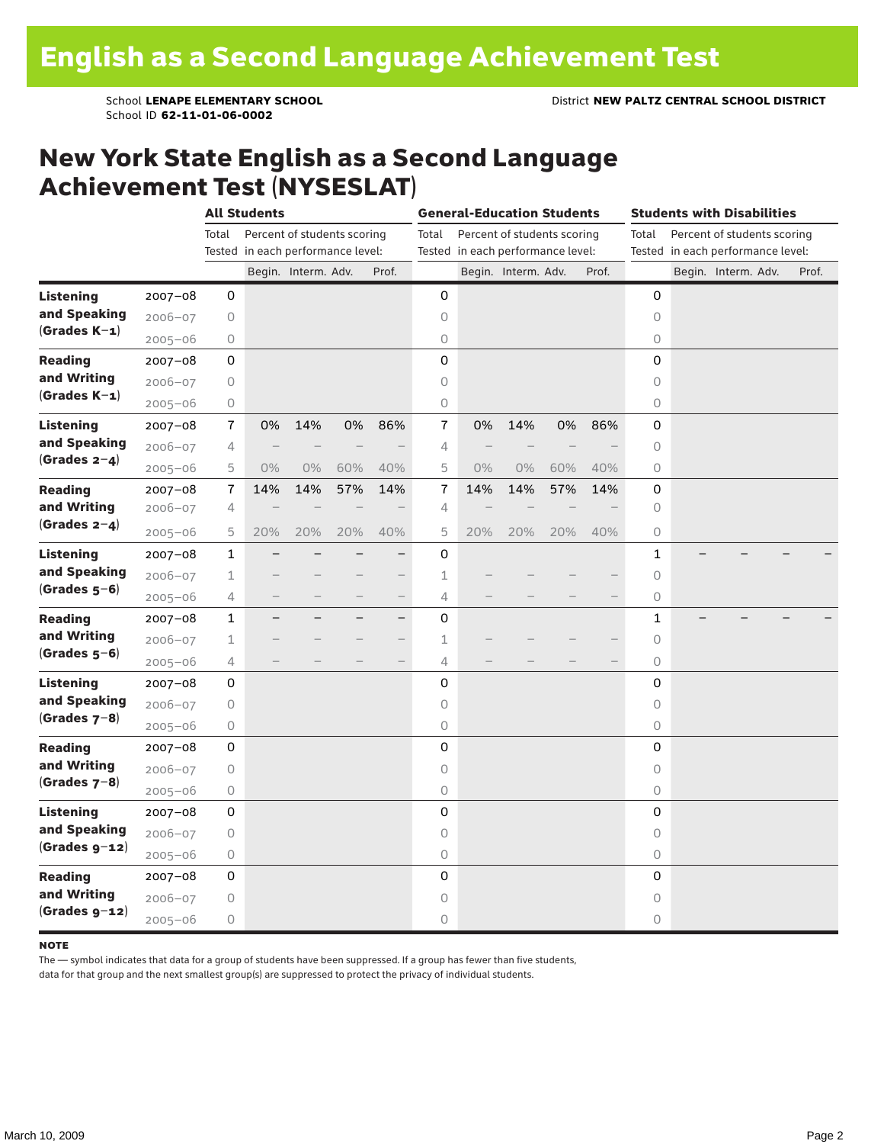School ID **62-11-01-06-0002**

### New York State English as a Second Language Achievement Test (NYSESLAT)

|                                                    |             | <b>All Students</b> |                                   |                             |     |                          | <b>General-Education Students</b> |     |                             |     | <b>Students with Disabilities</b> |                                   |  |                             |       |
|----------------------------------------------------|-------------|---------------------|-----------------------------------|-----------------------------|-----|--------------------------|-----------------------------------|-----|-----------------------------|-----|-----------------------------------|-----------------------------------|--|-----------------------------|-------|
|                                                    |             | Total               |                                   | Percent of students scoring |     |                          | Total                             |     | Percent of students scoring |     |                                   | Total                             |  | Percent of students scoring |       |
|                                                    |             |                     | Tested in each performance level: |                             |     |                          | Tested in each performance level: |     |                             |     |                                   | Tested in each performance level: |  |                             |       |
|                                                    |             |                     |                                   | Begin. Interm. Adv.         |     | Prof.                    |                                   |     | Begin. Interm. Adv.         |     | Prof.                             |                                   |  | Begin. Interm. Adv.         | Prof. |
| <b>Listening</b>                                   | $2007 - 08$ | 0                   |                                   |                             |     |                          | 0                                 |     |                             |     |                                   | 0                                 |  |                             |       |
| and Speaking                                       | $2006 - 07$ | $\mathsf O$         |                                   |                             |     |                          | $\circ$                           |     |                             |     |                                   | $\circ$                           |  |                             |       |
| $(Grades K-1)$                                     | $2005 - 06$ | $\mathsf O$         |                                   |                             |     |                          | 0                                 |     |                             |     |                                   | $\circ$                           |  |                             |       |
| <b>Reading</b>                                     | $2007 - 08$ | 0                   |                                   |                             |     |                          | 0                                 |     |                             |     |                                   | 0                                 |  |                             |       |
| and Writing                                        | $2006 - 07$ | 0                   |                                   |                             |     |                          | 0                                 |     |                             |     |                                   | 0                                 |  |                             |       |
| $(Grades K-1)$                                     | $2005 - 06$ | 0                   |                                   |                             |     |                          | 0                                 |     |                             |     |                                   | 0                                 |  |                             |       |
| <b>Listening</b>                                   | $2007 - 08$ | $\overline{1}$      | 0%                                | 14%                         | 0%  | 86%                      | 7                                 | 0%  | 14%                         | 0%  | 86%                               | 0                                 |  |                             |       |
| and Speaking                                       | $2006 - 07$ | 4                   |                                   |                             |     |                          | 4                                 |     |                             |     |                                   | $\circ$                           |  |                             |       |
| (Grades $2-4$ )                                    | $2005 - 06$ | 5                   | $0\%$                             | $0\%$                       | 60% | 40%                      | 5                                 | 0%  | $0\%$                       | 60% | 40%                               | $\circ$                           |  |                             |       |
| <b>Reading</b>                                     | $2007 - 08$ | $\bf 7$             | 14%                               | 14%                         | 57% | 14%                      | $\bf 7$                           | 14% | 14%                         | 57% | 14%                               | 0                                 |  |                             |       |
| and Writing                                        | $2006 - 07$ | $\overline{4}$      |                                   |                             |     |                          | 4                                 |     |                             |     |                                   | 0                                 |  |                             |       |
| (Grades $2-4$ )                                    | $2005 - 06$ | 5                   | 20%                               | 20%                         | 20% | 40%                      | 5                                 | 20% | 20%                         | 20% | 40%                               | 0                                 |  |                             |       |
| <b>Listening</b><br>and Speaking<br>$(Grades 5-6)$ | $2007 - 08$ | $\mathbf{1}$        |                                   |                             |     | $-$                      | 0                                 |     |                             |     |                                   | 1                                 |  |                             |       |
|                                                    | $2006 - 07$ | 1                   |                                   |                             |     | $\qquad \qquad -$        | 1                                 |     |                             |     |                                   | $\circ$                           |  |                             |       |
|                                                    | $2005 - 06$ | 4                   |                                   |                             |     | $\overline{\phantom{0}}$ | 4                                 |     |                             |     |                                   | $\circ$                           |  |                             |       |
| <b>Reading</b>                                     | $2007 - 08$ | $\mathbf{1}$        |                                   |                             |     | $\overline{\phantom{0}}$ | 0                                 |     |                             |     |                                   | $\mathbf{1}$                      |  |                             |       |
| and Writing                                        | $2006 - 07$ | 1                   |                                   |                             |     | $-$                      | 1                                 |     |                             |     |                                   | 0                                 |  |                             |       |
| $(Grades 5-6)$                                     | $2005 - 06$ | 4                   |                                   |                             |     | $\overline{\phantom{0}}$ | 4                                 |     |                             |     |                                   | $\circlearrowright$               |  |                             |       |
| Listening                                          | $2007 - 08$ | 0                   |                                   |                             |     |                          | 0                                 |     |                             |     |                                   | 0                                 |  |                             |       |
| and Speaking                                       | $2006 - 07$ | 0                   |                                   |                             |     |                          | 0                                 |     |                             |     |                                   | $\circ$                           |  |                             |       |
| (Grades $7-8$ )                                    | $2005 - 06$ | $\bigcirc$          |                                   |                             |     |                          | 0                                 |     |                             |     |                                   | $\circ$                           |  |                             |       |
| <b>Reading</b>                                     | $2007 - 08$ | 0                   |                                   |                             |     |                          | 0                                 |     |                             |     |                                   | 0                                 |  |                             |       |
| and Writing                                        | $2006 - 07$ | 0                   |                                   |                             |     |                          | 0                                 |     |                             |     |                                   | 0                                 |  |                             |       |
| $(Grades 7-8)$                                     | $2005 - 06$ | 0                   |                                   |                             |     |                          | 0                                 |     |                             |     |                                   | $\circlearrowright$               |  |                             |       |
| <b>Listening</b>                                   | $2007 - 08$ | 0                   |                                   |                             |     |                          | 0                                 |     |                             |     |                                   | 0                                 |  |                             |       |
| and Speaking                                       | $2006 - 07$ | 0                   |                                   |                             |     |                          | 0                                 |     |                             |     |                                   | $\circ$                           |  |                             |       |
| $(Grades g-12)$                                    | $2005 - 06$ | 0                   |                                   |                             |     |                          | 0                                 |     |                             |     |                                   | $\circ$                           |  |                             |       |
| <b>Reading</b>                                     | $2007 - 08$ | 0                   |                                   |                             |     |                          | 0                                 |     |                             |     |                                   | 0                                 |  |                             |       |
| and Writing                                        | $2006 - 07$ | 0                   |                                   |                             |     |                          | 0                                 |     |                             |     |                                   | $\circ$                           |  |                             |       |
| $(Grades g-12)$                                    | $2005 - 06$ | 0                   |                                   |                             |     |                          | 0                                 |     |                             |     |                                   | 0                                 |  |                             |       |

#### **NOTE**

The — symbol indicates that data for a group of students have been suppressed. If a group has fewer than five students,

data for that group and the next smallest group(s) are suppressed to protect the privacy of individual students.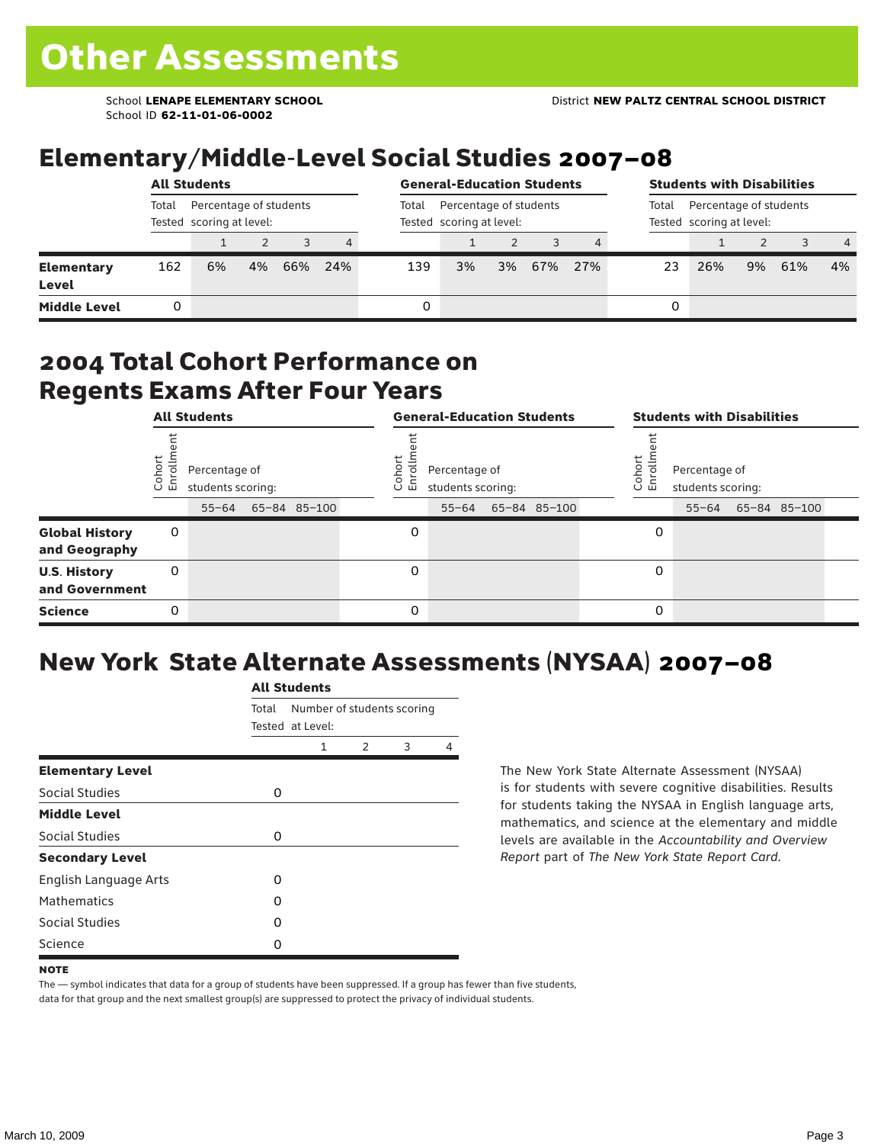School ID **62-11-01-06-0002**

## Elementary/Middle-Level Social Studies 2007–08

|                     | <b>All Students</b>                                         |    |    |     |       |                                                    | <b>General-Education Students</b> |    | <b>Students with Disabilities</b> |     |                                                             |     |    |     |                |
|---------------------|-------------------------------------------------------------|----|----|-----|-------|----------------------------------------------------|-----------------------------------|----|-----------------------------------|-----|-------------------------------------------------------------|-----|----|-----|----------------|
|                     | Total<br>Percentage of students<br>Tested scoring at level: |    |    |     | Total | Percentage of students<br>Tested scoring at level: |                                   |    |                                   |     | Percentage of students<br>Total<br>Tested scoring at level: |     |    |     |                |
|                     |                                                             |    |    |     | 4     |                                                    |                                   |    |                                   |     |                                                             |     |    |     | $\overline{4}$ |
| Elementary<br>Level | 162                                                         | 6% | 4% | 66% | 24%   | 139                                                | 3%                                | 3% | 67%                               | 27% | 23                                                          | 26% | 9% | 61% | $4\%$          |
| <b>Middle Level</b> |                                                             |    |    |     |       | 0                                                  |                                   |    |                                   |     | 0                                                           |     |    |     |                |

### 2004 Total Cohort Performance on Regents Exams After Four Years

|                                        | <b>All Students</b> |                                                    |  |  | <b>General-Education Students</b>                                          |           |  |  |  |                                                                               | <b>Students with Disabilities</b> |  |  |  |  |
|----------------------------------------|---------------------|----------------------------------------------------|--|--|----------------------------------------------------------------------------|-----------|--|--|--|-------------------------------------------------------------------------------|-----------------------------------|--|--|--|--|
|                                        | Cohor<br>Enroll     | Percentage of<br>students scoring:<br>65-84 85-100 |  |  | Coho<br>Percentage of<br>$\circ$<br>ᇛ<br>students scoring:<br>65-84 85-100 |           |  |  |  | Cohort<br>Percentage of<br>o,<br>문<br>students scoring:<br>55-64 65-84 85-100 |                                   |  |  |  |  |
|                                        |                     | $55 - 64$                                          |  |  |                                                                            | $55 - 64$ |  |  |  |                                                                               |                                   |  |  |  |  |
| <b>Global History</b><br>and Geography | 0                   |                                                    |  |  | 0                                                                          |           |  |  |  | 0                                                                             |                                   |  |  |  |  |
| <b>U.S. History</b><br>and Government  | 0                   |                                                    |  |  | $\Omega$                                                                   |           |  |  |  | 0                                                                             |                                   |  |  |  |  |
| <b>Science</b>                         | 0                   |                                                    |  |  | 0                                                                          |           |  |  |  | 0                                                                             |                                   |  |  |  |  |

## New York State Alternate Assessments (NYSAA) 2007–08

|                         | <b>All Students</b> |                  |                            |   |   |  |  |  |  |
|-------------------------|---------------------|------------------|----------------------------|---|---|--|--|--|--|
|                         | Total               | Tested at Level: | Number of students scoring |   |   |  |  |  |  |
|                         |                     | 1                | $\mathcal{P}$              | 3 | 4 |  |  |  |  |
| <b>Elementary Level</b> |                     |                  |                            |   |   |  |  |  |  |
| Social Studies          | 0                   |                  |                            |   |   |  |  |  |  |
| <b>Middle Level</b>     |                     |                  |                            |   |   |  |  |  |  |
| <b>Social Studies</b>   | 0                   |                  |                            |   |   |  |  |  |  |
| <b>Secondary Level</b>  |                     |                  |                            |   |   |  |  |  |  |
| English Language Arts   | O                   |                  |                            |   |   |  |  |  |  |
| <b>Mathematics</b>      | O                   |                  |                            |   |   |  |  |  |  |
| Social Studies          | O                   |                  |                            |   |   |  |  |  |  |
| Science                 | O                   |                  |                            |   |   |  |  |  |  |

The New York State Alternate Assessment (NYSAA) is for students with severe cognitive disabilities. Results for students taking the NYSAA in English language arts, mathematics, and science at the elementary and middle levels are available in the *Accountability and Overview Report* part of *The New York State Report Card*.

The — symbol indicates that data for a group of students have been suppressed. If a group has fewer than five students, data for that group and the next smallest group(s) are suppressed to protect the privacy of individual students.

**NOTE**